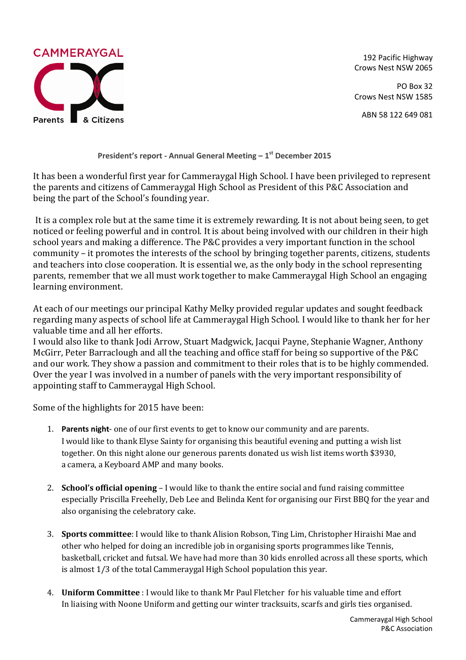

192 Pacific Highway Crows Nest NSW 2065

PO Box 32 Crows Nest NSW 1585

ABN 58 122 649 081

**President's report - Annual General Meeting – 1 st December 2015**

It has been a wonderful first year for Cammeraygal High School. I have been privileged to represent the parents and citizens of Cammeraygal High School as President of this P&C Association and being the part of the School's founding year.

It is a complex role but at the same time it is extremely rewarding. It is not about being seen, to get noticed or feeling powerful and in control. It is about being involved with our children in their high school years and making a difference. The P&C provides a very important function in the school community – it promotes the interests of the school by bringing together parents, citizens, students and teachers into close cooperation. It is essential we, as the only body in the school representing parents, remember that we all must work together to make Cammeraygal High School an engaging learning environment.

At each of our meetings our principal Kathy Melky provided regular updates and sought feedback regarding many aspects of school life at Cammeraygal High School. I would like to thank her for her valuable time and all her efforts.

I would also like to thank Jodi Arrow, Stuart Madgwick, Jacqui Payne, Stephanie Wagner, Anthony McGirr, Peter Barraclough and all the teaching and office staff for being so supportive of the P&C and our work. They show a passion and commitment to their roles that is to be highly commended. Over the year I was involved in a number of panels with the very important responsibility of appointing staff to Cammeraygal High School.

Some of the highlights for 2015 have been:

- 1. **Parents night** one of our first events to get to know our community and are parents. I would like to thank Elyse Sainty for organising this beautiful evening and putting a wish list together. On this night alone our generous parents donated us wish list items worth \$3930, a camera, a Keyboard AMP and many books.
- 2. **School's official opening** I would like to thank the entire social and fund raising committee especially Priscilla Freehelly, Deb Lee and Belinda Kent for organising our First BBQ for the year and also organising the celebratory cake.
- 3. **Sports committee**: I would like to thank Alision Robson, Ting Lim, Christopher Hiraishi Mae and other who helped for doing an incredible job in organising sports programmes like Tennis, basketball, cricket and futsal. We have had more than 30 kids enrolled across all these sports, which is almost 1/3 of the total Cammeraygal High School population this year.
- 4. **Uniform Committee** : I would like to thank Mr Paul Fletcher for his valuable time and effort In liaising with Noone Uniform and getting our winter tracksuits, scarfs and girls ties organised.